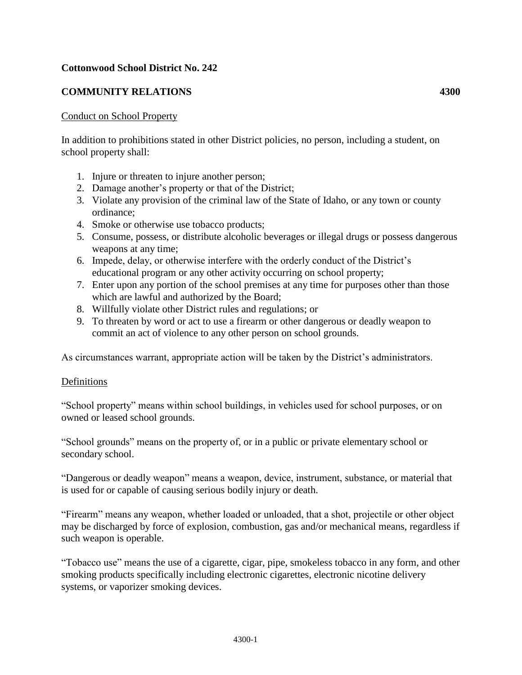## **Cottonwood School District No. 242**

## **COMMUNITY RELATIONS 4300**

## Conduct on School Property

In addition to prohibitions stated in other District policies, no person, including a student, on school property shall:

- 1. Injure or threaten to injure another person;
- 2. Damage another's property or that of the District;
- 3. Violate any provision of the criminal law of the State of Idaho, or any town or county ordinance;
- 4. Smoke or otherwise use tobacco products;
- 5. Consume, possess, or distribute alcoholic beverages or illegal drugs or possess dangerous weapons at any time;
- 6. Impede, delay, or otherwise interfere with the orderly conduct of the District's educational program or any other activity occurring on school property;
- 7. Enter upon any portion of the school premises at any time for purposes other than those which are lawful and authorized by the Board;
- 8. Willfully violate other District rules and regulations; or
- 9. To threaten by word or act to use a firearm or other dangerous or deadly weapon to commit an act of violence to any other person on school grounds.

As circumstances warrant, appropriate action will be taken by the District's administrators.

## Definitions

"School property" means within school buildings, in vehicles used for school purposes, or on owned or leased school grounds.

"School grounds" means on the property of, or in a public or private elementary school or secondary school.

"Dangerous or deadly weapon" means a weapon, device, instrument, substance, or material that is used for or capable of causing serious bodily injury or death.

"Firearm" means any weapon, whether loaded or unloaded, that a shot, projectile or other object may be discharged by force of explosion, combustion, gas and/or mechanical means, regardless if such weapon is operable.

"Tobacco use" means the use of a cigarette, cigar, pipe, smokeless tobacco in any form, and other smoking products specifically including electronic cigarettes, electronic nicotine delivery systems, or vaporizer smoking devices.